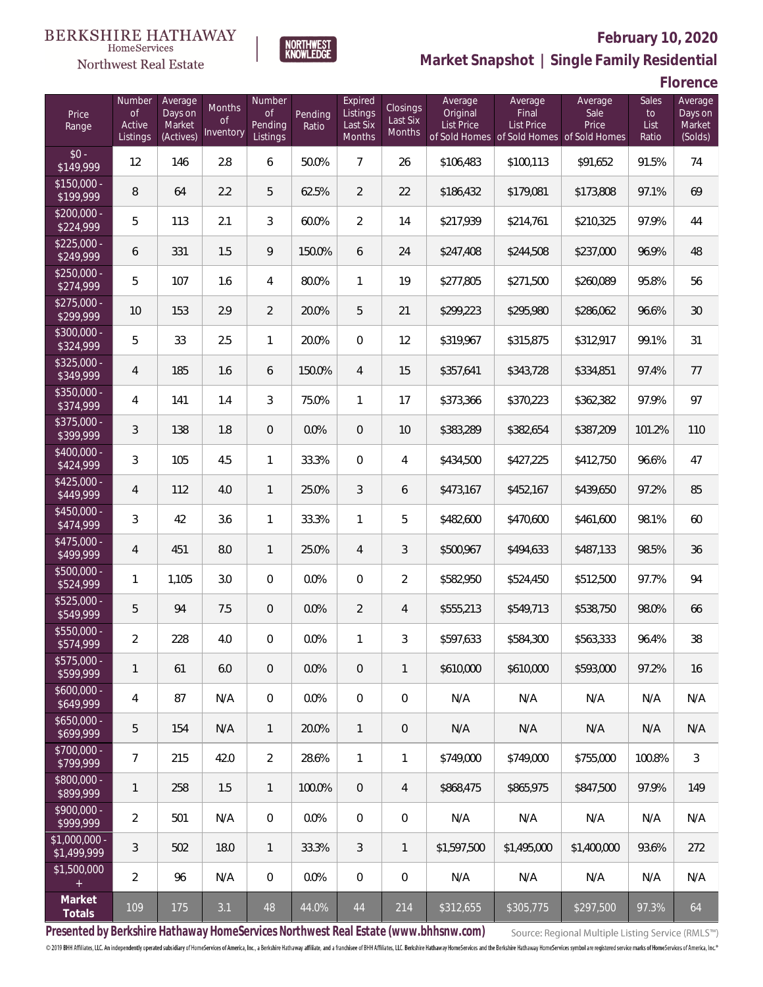#### **BERKSHIRE HATHAWAY** HomeServices



### **February 10, 2020**



**Florence**

| Price<br>Range                   | Number<br>of<br>Active<br>Listings | Average<br>Days on<br>Market<br>(Actives) | Months<br>0f<br>Inventory | Number<br>Οf<br>Pending<br>Listings | Pending<br>Ratio | Expired<br>Listings<br>Last Six<br><b>Months</b> | Closings<br>Last Six<br>Months | Average<br>Original<br><b>List Price</b> | Average<br>Final<br>List Price<br>of Sold Homes of Sold Homes of Sold Homes | Average<br>Sale<br>Price | Sales<br>to<br>List<br>Ratio | Average<br>Days on<br>Market<br>(Solds) |
|----------------------------------|------------------------------------|-------------------------------------------|---------------------------|-------------------------------------|------------------|--------------------------------------------------|--------------------------------|------------------------------------------|-----------------------------------------------------------------------------|--------------------------|------------------------------|-----------------------------------------|
| $$0 -$<br>\$149,999              | 12                                 | 146                                       | 2.8                       | 6                                   | 50.0%            | $\overline{7}$                                   | 26                             | \$106,483                                | \$100,113                                                                   | \$91,652                 | 91.5%                        | 74                                      |
| $\sqrt{$150,000}$ -<br>\$199,999 | 8                                  | 64                                        | 2.2                       | 5                                   | 62.5%            | $\overline{2}$                                   | 22                             | \$186,432                                | \$179,081                                                                   | \$173,808                | 97.1%                        | 69                                      |
| $\sqrt{$200,000}$ -<br>\$224,999 | 5                                  | 113                                       | 2.1                       | 3                                   | 60.0%            | $\overline{2}$                                   | 14                             | \$217,939                                | \$214,761                                                                   | \$210,325                | 97.9%                        | 44                                      |
| $$225.000 -$<br>\$249,999        | 6                                  | 331                                       | 1.5                       | 9                                   | 150.0%           | 6                                                | 24                             | \$247,408                                | \$244,508                                                                   | \$237,000                | 96.9%                        | 48                                      |
| $$250,000 -$<br>\$274,999        | 5                                  | 107                                       | 1.6                       | $\overline{4}$                      | 80.0%            | 1                                                | 19                             | \$277,805                                | \$271,500                                                                   | \$260,089                | 95.8%                        | 56                                      |
| $$275,000 -$<br>\$299,999        | 10                                 | 153                                       | 2.9                       | $\overline{2}$                      | 20.0%            | 5                                                | 21                             | \$299,223                                | \$295,980                                                                   | \$286,062                | 96.6%                        | 30                                      |
| \$300,000 -<br>\$324,999         | 5                                  | 33                                        | 2.5                       | $\mathbf{1}$                        | 20.0%            | $\mathbf{0}$                                     | 12                             | \$319,967                                | \$315,875                                                                   | \$312,917                | 99.1%                        | 31                                      |
| $$325,000 -$<br>\$349,999        | 4                                  | 185                                       | 1.6                       | 6                                   | 150.0%           | $\overline{4}$                                   | 15                             | \$357,641                                | \$343,728                                                                   | \$334,851                | 97.4%                        | 77                                      |
| \$350,000 -<br>\$374,999         | 4                                  | 141                                       | 1.4                       | 3                                   | 75.0%            | 1                                                | 17                             | \$373,366                                | \$370,223                                                                   | \$362,382                | 97.9%                        | 97                                      |
| $$375,000 -$<br>\$399,999        | 3                                  | 138                                       | 1.8                       | $\overline{0}$                      | 0.0%             | $\overline{0}$                                   | 10                             | \$383,289                                | \$382,654                                                                   | \$387,209                | 101.2%                       | 110                                     |
| \$400,000 -<br>\$424,999         | 3                                  | 105                                       | 4.5                       | $\mathbf{1}$                        | 33.3%            | $\overline{0}$                                   | 4                              | \$434,500                                | \$427,225                                                                   | \$412,750                | 96.6%                        | 47                                      |
| $$425,000 -$<br>\$449,999        | 4                                  | 112                                       | 4.0                       | $\mathbf{1}$                        | 25.0%            | 3                                                | 6                              | \$473,167                                | \$452,167                                                                   | \$439,650                | 97.2%                        | 85                                      |
| \$450,000 -<br>\$474,999         | 3                                  | 42                                        | 3.6                       | $\mathbf{1}$                        | 33.3%            | 1                                                | 5                              | \$482,600                                | \$470,600                                                                   | \$461,600                | 98.1%                        | 60                                      |
| $$475,000 -$<br>\$499,999        | 4                                  | 451                                       | 8.0                       | $\mathbf{1}$                        | 25.0%            | $\overline{4}$                                   | 3                              | \$500,967                                | \$494,633                                                                   | \$487,133                | 98.5%                        | 36                                      |
| \$500,000 -<br>\$524,999         | 1                                  | 1,105                                     | 3.0                       | $\boldsymbol{0}$                    | 0.0%             | $\overline{0}$                                   | $\overline{2}$                 | \$582,950                                | \$524,450                                                                   | \$512,500                | 97.7%                        | 94                                      |
| \$525,000 -<br>\$549,999         | 5                                  | 94                                        | 7.5                       | $\overline{0}$                      | 0.0%             | $\overline{2}$                                   | 4                              | \$555,213                                | \$549,713                                                                   | \$538,750                | 98.0%                        | 66                                      |
| \$550,000 -<br>\$574,999         | $\overline{2}$                     | 228                                       | 4.0                       | $\mathbf{0}$                        | 0.0%             | 1                                                | 3                              | \$597,633                                | \$584,300                                                                   | \$563,333                | 96.4%                        | 38                                      |
| $$575,000 -$<br>\$599,999        | 1                                  | 61                                        | 6.0                       | $\theta$                            | 0.0%             | $\overline{0}$                                   | $\mathbf{1}$                   | \$610,000                                | \$610,000                                                                   | \$593,000                | 97.2%                        | 16                                      |
| $$600,000 -$<br>\$649,999        | 4                                  | 87                                        | N/A                       | $\overline{0}$                      | 0.0%             | $\overline{0}$                                   | 0                              | N/A                                      | N/A                                                                         | N/A                      | N/A                          | N/A                                     |
| $$650,000 -$<br>\$699,999        | 5                                  | 154                                       | N/A                       | $\mathbf{1}$                        | 20.0%            | $\mathbf{1}$                                     | 0                              | N/A                                      | N/A                                                                         | N/A                      | N/A                          | N/A                                     |
| $$700,000 -$<br>\$799,999        | 7                                  | 215                                       | 42.0                      | $\overline{2}$                      | 28.6%            | $\mathbf{1}$                                     | 1                              | \$749,000                                | \$749,000                                                                   | \$755,000                | 100.8%                       | $\mathfrak{Z}$                          |
| \$800,000 -<br>\$899,999         | 1                                  | 258                                       | 1.5                       | $\mathbf{1}$                        | 100.0%           | $\overline{0}$                                   | 4                              | \$868,475                                | \$865.975                                                                   | \$847,500                | 97.9%                        | 149                                     |
| $$900,000 -$<br>\$999,999        | $\overline{2}$                     | 501                                       | N/A                       | $\boldsymbol{0}$                    | 0.0%             | $\overline{0}$                                   | 0                              | N/A                                      | N/A                                                                         | N/A                      | N/A                          | N/A                                     |
| $$1,000,000$ -<br>\$1,499,999    | 3                                  | 502                                       | 18.0                      | $\mathbf{1}$                        | 33.3%            | 3                                                | $\mathbf{1}$                   | \$1,597,500                              | \$1,495,000                                                                 | \$1,400,000              | 93.6%                        | 272                                     |
| \$1,500,000<br>$+$               | $\overline{2}$                     | 96                                        | N/A                       | $\overline{0}$                      | 0.0%             | $\mathbf{0}$                                     | 0                              | N/A                                      | N/A                                                                         | N/A                      | N/A                          | N/A                                     |
| Market<br>Totals                 | 109                                | 175                                       | 3.1                       | 48                                  | 44.0%            | 44                                               | 214                            | \$312,655                                | \$305,775                                                                   | \$297,500                | 97.3%                        | 64                                      |

**NORTHWEST**<br>KNOWLEDGE

**Presented by Berkshire Hathaway HomeServices Northwest Real Estate (www.bhhsnw.com)**

Source: Regional Multiple Listing Service (RMLS™)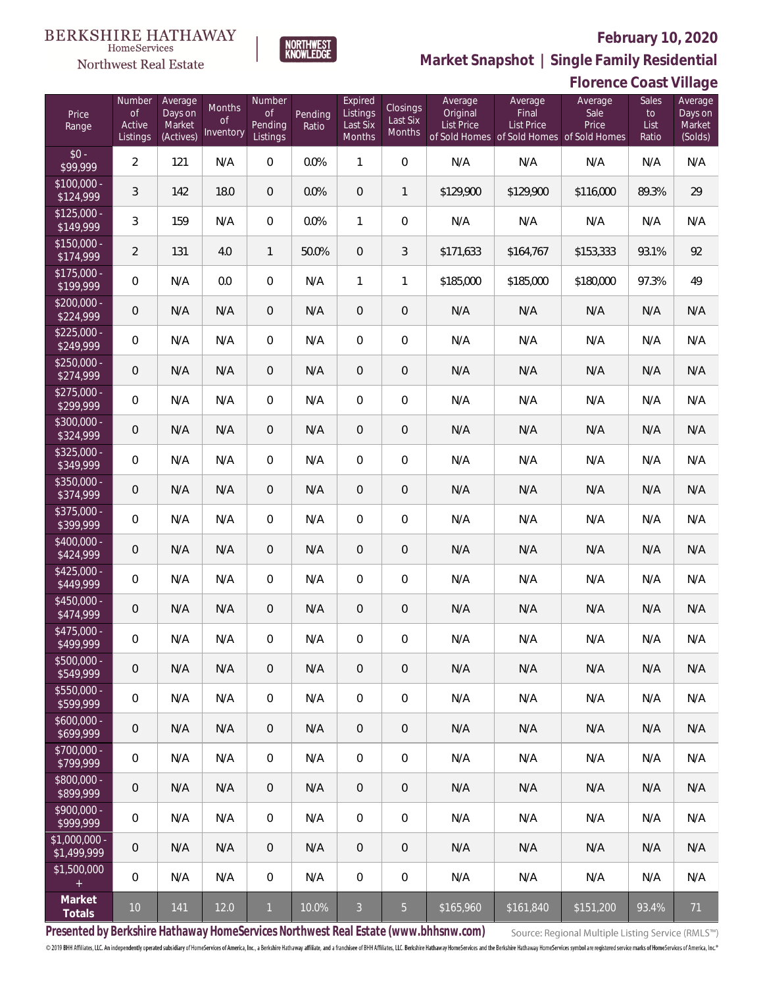

**Market Snapshot | Single Family Residential**

# Northwest Real Estate

 $\label{lem:sevices} \textsc{Home} \textsc{Service} \textsc{s}$ 

|                               | <b>Florence Coast Village</b>      |                                           |                           |                                            |                  |                                           |                                |                                          |                                                                                    |                          |                                     |                                         |
|-------------------------------|------------------------------------|-------------------------------------------|---------------------------|--------------------------------------------|------------------|-------------------------------------------|--------------------------------|------------------------------------------|------------------------------------------------------------------------------------|--------------------------|-------------------------------------|-----------------------------------------|
| Price<br>Range                | Number<br>of<br>Active<br>Listings | Average<br>Days on<br>Market<br>(Actives) | Months<br>0f<br>Inventory | Number<br><b>of</b><br>Pending<br>Listings | Pending<br>Ratio | Expired<br>Listings<br>Last Six<br>Months | Closings<br>Last Six<br>Months | Average<br>Original<br><b>List Price</b> | Average<br>Final<br><b>List Price</b><br>of Sold Homes of Sold Homes of Sold Homes | Average<br>Sale<br>Price | <b>Sales</b><br>to<br>List<br>Ratio | Average<br>Days on<br>Market<br>(Solds) |
| $$0 -$<br>\$99,999            | $\overline{2}$                     | 121                                       | N/A                       | $\overline{0}$                             | 0.0%             | $\mathbf{1}$                              | $\mathbf 0$                    | N/A                                      | N/A                                                                                | N/A                      | N/A                                 | N/A                                     |
| $$100,000 -$<br>\$124,999     | 3                                  | 142                                       | 18.0                      | $\theta$                                   | 0.0%             | $\overline{0}$                            | 1                              | \$129,900                                | \$129,900                                                                          | \$116,000                | 89.3%                               | 29                                      |
| $$125,000 -$<br>\$149,999     | 3                                  | 159                                       | N/A                       | $\overline{0}$                             | 0.0%             | 1                                         | 0                              | N/A                                      | N/A                                                                                | N/A                      | N/A                                 | N/A                                     |
| $$150,000 -$<br>\$174,999     | $\overline{2}$                     | 131                                       | 4.0                       | $\mathbf{1}$                               | 50.0%            | 0                                         | 3                              | \$171,633                                | \$164,767                                                                          | \$153,333                | 93.1%                               | 92                                      |
| $$175,000 -$<br>\$199,999     | 0                                  | N/A                                       | 0.0                       | $\overline{0}$                             | N/A              | 1                                         | 1                              | \$185,000                                | \$185,000                                                                          | \$180,000                | 97.3%                               | 49                                      |
| $$200,000 -$<br>\$224,999     | 0                                  | N/A                                       | N/A                       | $\overline{0}$                             | N/A              | 0                                         | $\overline{0}$                 | N/A                                      | N/A                                                                                | N/A                      | N/A                                 | N/A                                     |
| $$225,000 -$<br>\$249,999     | 0                                  | N/A                                       | N/A                       | $\overline{0}$                             | N/A              | $\overline{0}$                            | $\boldsymbol{0}$               | N/A                                      | N/A                                                                                | N/A                      | N/A                                 | N/A                                     |
| $$250.000 -$<br>\$274,999     | $\overline{0}$                     | N/A                                       | N/A                       | $\theta$                                   | N/A              | 0                                         | $\overline{0}$                 | N/A                                      | N/A                                                                                | N/A                      | N/A                                 | N/A                                     |
| $$275,000 -$<br>\$299,999     | 0                                  | N/A                                       | N/A                       | $\overline{0}$                             | N/A              | $\overline{0}$                            | $\boldsymbol{0}$               | N/A                                      | N/A                                                                                | N/A                      | N/A                                 | N/A                                     |
| $$300,000 -$<br>\$324,999     | $\overline{0}$                     | N/A                                       | N/A                       | $\overline{0}$                             | N/A              | 0                                         | $\overline{0}$                 | N/A                                      | N/A                                                                                | N/A                      | N/A                                 | N/A                                     |
| $$325.000 -$<br>\$349,999     | 0                                  | N/A                                       | N/A                       | $\overline{0}$                             | N/A              | $\overline{0}$                            | $\boldsymbol{0}$               | N/A                                      | N/A                                                                                | N/A                      | N/A                                 | N/A                                     |
| \$350,000 -<br>\$374,999      | $\overline{0}$                     | N/A                                       | N/A                       | $\overline{0}$                             | N/A              | $\mathbf 0$                               | $\mathbf 0$                    | N/A                                      | N/A                                                                                | N/A                      | N/A                                 | N/A                                     |
| $$375,000 -$<br>\$399,999     | 0                                  | N/A                                       | N/A                       | $\overline{0}$                             | N/A              | $\overline{0}$                            | $\boldsymbol{0}$               | N/A                                      | N/A                                                                                | N/A                      | N/A                                 | N/A                                     |
| $$400,000 -$<br>\$424,999     | $\overline{0}$                     | N/A                                       | N/A                       | $\overline{0}$                             | N/A              | $\mathbf 0$                               | $\overline{0}$                 | N/A                                      | N/A                                                                                | N/A                      | N/A                                 | N/A                                     |
| $$425,000 -$<br>\$449,999     | $\mathbf 0$                        | N/A                                       | N/A                       | $\overline{0}$                             | N/A              | 0                                         | $\boldsymbol{0}$               | N/A                                      | N/A                                                                                | N/A                      | N/A                                 | N/A                                     |
| $$450,000 -$<br>\$474,999     | 0                                  | N/A                                       | N/A                       | $\theta$                                   | N/A              | $\mathbf 0$                               | $\overline{0}$                 | N/A                                      | N/A                                                                                | N/A                      | N/A                                 | N/A                                     |
| $$475.000 -$<br>\$499,999     | 0                                  | N/A                                       | N/A                       | $\mathbf{0}$                               | N/A              | 0                                         | $\overline{0}$                 | N/A                                      | N/A                                                                                | N/A                      | N/A                                 | N/A                                     |
| $$500,000 -$<br>\$549,999     | $\overline{0}$                     | N/A                                       | N/A                       | $\overline{0}$                             | N/A              | 0                                         | $\overline{0}$                 | N/A                                      | N/A                                                                                | N/A                      | N/A                                 | N/A                                     |
| $$550,000 -$<br>\$599,999     | 0                                  | N/A                                       | N/A                       | $\overline{0}$                             | N/A              | $\boldsymbol{0}$                          | $\overline{0}$                 | N/A                                      | N/A                                                                                | N/A                      | N/A                                 | N/A                                     |
| $$600,000 -$<br>\$699,999     | $\overline{0}$                     | N/A                                       | N/A                       | $\overline{0}$                             | N/A              | $\overline{0}$                            | $\overline{0}$                 | N/A                                      | N/A                                                                                | N/A                      | N/A                                 | N/A                                     |
| $$700,000 -$<br>\$799,999     | $\mathbf 0$                        | N/A                                       | N/A                       | $\overline{0}$                             | N/A              | $\boldsymbol{0}$                          | $\overline{0}$                 | N/A                                      | N/A                                                                                | N/A                      | N/A                                 | N/A                                     |
| \$800,000 -<br>\$899,999      | $\overline{0}$                     | N/A                                       | N/A                       | $\overline{0}$                             | N/A              | $\overline{0}$                            | $\overline{0}$                 | N/A                                      | N/A                                                                                | N/A                      | N/A                                 | N/A                                     |
| $$900,000 -$<br>\$999,999     | $\mathbf 0$                        | N/A                                       | N/A                       | $\overline{0}$                             | N/A              | $\boldsymbol{0}$                          | $\mathbf 0$                    | N/A                                      | N/A                                                                                | N/A                      | N/A                                 | N/A                                     |
| $$1,000,000 -$<br>\$1,499,999 | $\overline{0}$                     | N/A                                       | N/A                       | $\overline{0}$                             | N/A              | $\overline{0}$                            | $\overline{0}$                 | N/A                                      | N/A                                                                                | N/A                      | N/A                                 | N/A                                     |
| \$1,500,000<br>$+$            | $\mathbf 0$                        | N/A                                       | N/A                       | $\boldsymbol{0}$                           | N/A              | $\boldsymbol{0}$                          | $\mathbf 0$                    | N/A                                      | N/A                                                                                | N/A                      | N/A                                 | N/A                                     |
| Market<br>Totals              | 10 <sup>°</sup>                    | 141                                       | 12.0                      | $\mathbf{1}$                               | 10.0%            | $\mathfrak{Z}$                            | 5                              | \$165,960                                | \$161,840                                                                          | \$151,200                | 93.4%                               | 71                                      |

**Presented by Berkshire Hathaway HomeServices Northwest Real Estate (www.bhhsnw.com)**

Source: Regional Multiple Listing Service (RMLS™)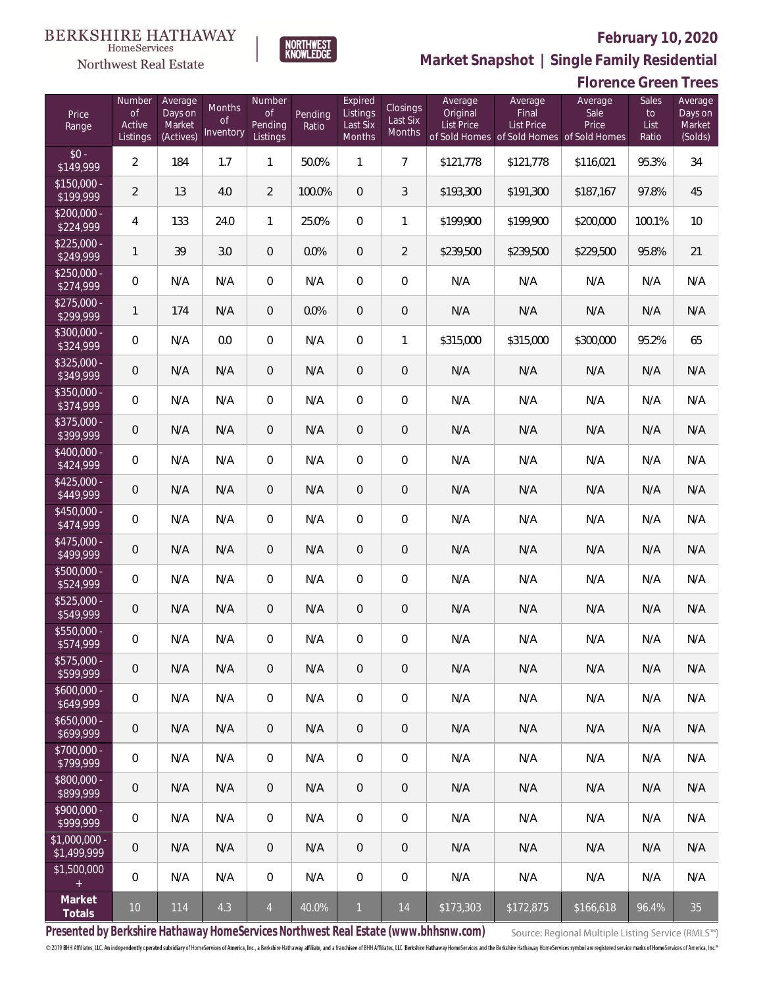

NORTHWEST<br>KNOWLEDGE

Northwest Real Estate

**Market Snapshot | Single Family Residential**

|                               | <b>Florence Green Trees</b>               |                                           |                           |                                            |                  |                                           |                                |                                          |                                                                                    |                          |                              |                                         |
|-------------------------------|-------------------------------------------|-------------------------------------------|---------------------------|--------------------------------------------|------------------|-------------------------------------------|--------------------------------|------------------------------------------|------------------------------------------------------------------------------------|--------------------------|------------------------------|-----------------------------------------|
| Price<br>Range                | Number<br><b>of</b><br>Active<br>Listings | Average<br>Days on<br>Market<br>(Actives) | Months<br>0f<br>Inventory | Number<br><b>of</b><br>Pending<br>Listings | Pending<br>Ratio | Expired<br>Listings<br>Last Six<br>Months | Closings<br>Last Six<br>Months | Average<br>Original<br><b>List Price</b> | Average<br>Final<br><b>List Price</b><br>of Sold Homes of Sold Homes of Sold Homes | Average<br>Sale<br>Price | Sales<br>to<br>List<br>Ratio | Average<br>Days on<br>Market<br>(Solds) |
| $$0 -$<br>\$149,999           | $\overline{2}$                            | 184                                       | 1.7                       | $\mathbf{1}$                               | 50.0%            | 1                                         | $\overline{7}$                 | \$121,778                                | \$121,778                                                                          | \$116,021                | 95.3%                        | 34                                      |
| $$150,000 -$<br>\$199,999     | $\overline{2}$                            | 13                                        | 4.0                       | $\overline{2}$                             | 100.0%           | $\overline{0}$                            | 3                              | \$193,300                                | \$191,300                                                                          | \$187,167                | 97.8%                        | 45                                      |
| $$200,000 -$<br>\$224,999     | 4                                         | 133                                       | 24.0                      | $\mathbf{1}$                               | 25.0%            | $\mathbf{0}$                              | 1                              | \$199,900                                | \$199,900                                                                          | \$200,000                | 100.1%                       | 10                                      |
| $$225,000 -$<br>\$249,999     | $\mathbf{1}$                              | 39                                        | 3.0                       | $\theta$                                   | 0.0%             | $\overline{0}$                            | $\overline{2}$                 | \$239,500                                | \$239,500                                                                          | \$229,500                | 95.8%                        | 21                                      |
| $$250,000 -$<br>\$274,999     | 0                                         | N/A                                       | N/A                       | $\mathbf{0}$                               | N/A              | $\overline{0}$                            | $\mathbf 0$                    | N/A                                      | N/A                                                                                | N/A                      | N/A                          | N/A                                     |
| $$275,000 -$<br>\$299,999     | $\mathbf{1}$                              | 174                                       | N/A                       | $\overline{0}$                             | 0.0%             | $\overline{0}$                            | $\overline{0}$                 | N/A                                      | N/A                                                                                | N/A                      | N/A                          | N/A                                     |
| $$300,000 -$<br>\$324,999     | $\boldsymbol{0}$                          | N/A                                       | 0.0                       | $\overline{0}$                             | N/A              | $\overline{0}$                            | 1                              | \$315,000                                | \$315,000                                                                          | \$300,000                | 95.2%                        | 65                                      |
| $$325,000 -$<br>\$349,999     | $\mathbf 0$                               | N/A                                       | N/A                       | $\theta$                                   | N/A              | $\overline{0}$                            | $\overline{0}$                 | N/A                                      | N/A                                                                                | N/A                      | N/A                          | N/A                                     |
| $$350,000 -$<br>\$374,999     | 0                                         | N/A                                       | N/A                       | $\overline{0}$                             | N/A              | $\mathbf{0}$                              | $\boldsymbol{0}$               | N/A                                      | N/A                                                                                | N/A                      | N/A                          | N/A                                     |
| $$375,000 -$<br>\$399,999     | $\mathbf 0$                               | N/A                                       | N/A                       | $\overline{0}$                             | N/A              | $\overline{0}$                            | $\overline{0}$                 | N/A                                      | N/A                                                                                | N/A                      | N/A                          | N/A                                     |
| $$400.000 -$<br>\$424,999     | $\boldsymbol{0}$                          | N/A                                       | N/A                       | $\overline{0}$                             | N/A              | $\overline{0}$                            | $\overline{0}$                 | N/A                                      | N/A                                                                                | N/A                      | N/A                          | N/A                                     |
| $$425,000 -$<br>\$449,999     | $\mathbf 0$                               | N/A                                       | N/A                       | $\theta$                                   | N/A              | $\overline{0}$                            | $\mathbf 0$                    | N/A                                      | N/A                                                                                | N/A                      | N/A                          | N/A                                     |
| $$450,000 -$<br>\$474,999     | 0                                         | N/A                                       | N/A                       | $\overline{0}$                             | N/A              | $\overline{0}$                            | $\overline{0}$                 | N/A                                      | N/A                                                                                | N/A                      | N/A                          | N/A                                     |
| $$475,000 -$<br>\$499,999     | $\mathbf 0$                               | N/A                                       | N/A                       | $\theta$                                   | N/A              | $\overline{0}$                            | $\boldsymbol{0}$               | N/A                                      | N/A                                                                                | N/A                      | N/A                          | N/A                                     |
| \$500,000 -<br>\$524,999      | $\overline{0}$                            | N/A                                       | N/A                       | 0                                          | N/A              | $\mathbf 0$                               | $\boldsymbol{0}$               | N/A                                      | N/A                                                                                | N/A                      | N/A                          | N/A                                     |
| $$525,000 -$<br>\$549,999     | $\mathbf 0$                               | N/A                                       | N/A                       | $\theta$                                   | N/A              | $\overline{0}$                            | $\theta$                       | N/A                                      | N/A                                                                                | N/A                      | N/A                          | N/A                                     |
| $$550.000 -$<br>\$574,999     | 0                                         | N/A                                       | N/A                       | $\mathbf{0}$                               | N/A              | $\mathbf{0}$                              | $\overline{0}$                 | N/A                                      | N/A                                                                                | N/A                      | N/A                          | N/A                                     |
| $$575.000 -$<br>\$599,999     | 0                                         | N/A                                       | N/A                       | $\theta$                                   | N/A              | $\mathbf{0}$                              | $\mathbf{0}$                   | N/A                                      | N/A                                                                                | N/A                      | N/A                          | N/A                                     |
| $$600,000 -$<br>\$649,999     | 0                                         | N/A                                       | N/A                       | $\overline{0}$                             | N/A              | $\mathbf 0$                               | $\mathbf 0$                    | N/A                                      | N/A                                                                                | N/A                      | N/A                          | N/A                                     |
| $$650,000 -$<br>\$699,999     | 0                                         | N/A                                       | N/A                       | $\overline{0}$                             | N/A              | $\mathbf{0}$                              | $\mathbf{0}$                   | N/A                                      | N/A                                                                                | N/A                      | N/A                          | N/A                                     |
| $$700,000 -$<br>\$799,999     | 0                                         | N/A                                       | N/A                       | $\mathbf 0$                                | N/A              | $\mathbf 0$                               | $\mathbf 0$                    | N/A                                      | N/A                                                                                | N/A                      | N/A                          | N/A                                     |
| $$800,000 -$<br>\$899,999     | 0                                         | N/A                                       | N/A                       | $\overline{0}$                             | N/A              | $\mathbf{0}$                              | $\mathbf{0}$                   | N/A                                      | N/A                                                                                | N/A                      | N/A                          | N/A                                     |
| $$900,000 -$<br>\$999,999     | $\overline{0}$                            | N/A                                       | N/A                       | $\,0\,$                                    | N/A              | $\mathbf 0$                               | $\mathbf 0$                    | N/A                                      | N/A                                                                                | N/A                      | N/A                          | N/A                                     |
| $$1,000,000 -$<br>\$1,499,999 | $\overline{0}$                            | N/A                                       | N/A                       | $\theta$                                   | N/A              | $\mathbf{0}$                              | $\mathbf{0}$                   | N/A                                      | N/A                                                                                | N/A                      | N/A                          | N/A                                     |
| \$1,500,000<br>$+$            | 0                                         | N/A                                       | N/A                       | 0                                          | N/A              | $\mathbf 0$                               | 0                              | N/A                                      | N/A                                                                                | N/A                      | N/A                          | N/A                                     |
| Market<br>Totals              | $10$                                      | 114                                       | 4.3                       | $\overline{4}$                             | 40.0%            | $\mathbf{1}$                              | 14                             | \$173,303                                | \$172,875                                                                          | \$166,618                | 96.4%                        | 35                                      |

**Presented by Berkshire Hathaway HomeServices Northwest Real Estate (www.bhhsnw.com)**

Source: Regional Multiple Listing Service (RMLS™)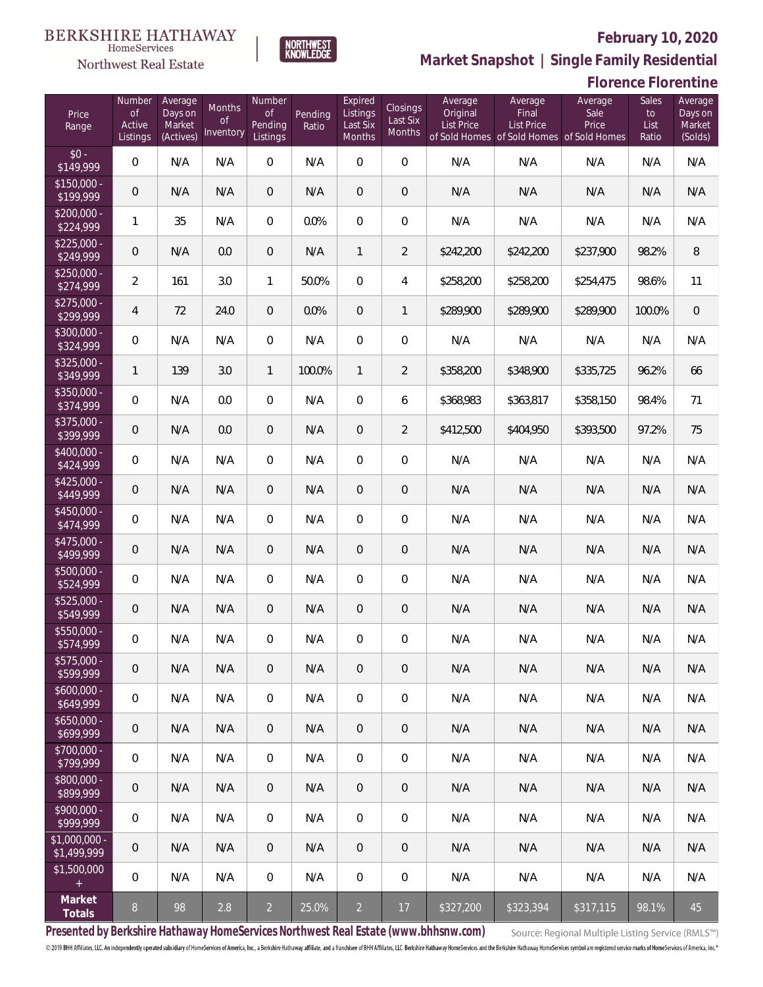

 $\label{lem:sevices} \textsc{Home} \textsc{Service} \textsc{s}$ 

**Market Snapshot | Single Family Residential**

|                               | <b>Florence Florentine</b>                |                                           |                           |                                     |                  |                                           |                                |                                          |                                                                                    |                          |                              |                                         |
|-------------------------------|-------------------------------------------|-------------------------------------------|---------------------------|-------------------------------------|------------------|-------------------------------------------|--------------------------------|------------------------------------------|------------------------------------------------------------------------------------|--------------------------|------------------------------|-----------------------------------------|
| Price<br>Range                | Number<br><b>of</b><br>Active<br>Listings | Average<br>Days on<br>Market<br>(Actives) | Months<br>0f<br>Inventory | Number<br>0f<br>Pending<br>Listings | Pending<br>Ratio | Expired<br>Listings<br>Last Six<br>Months | Closings<br>Last Six<br>Months | Average<br>Original<br><b>List Price</b> | Average<br>Final<br><b>List Price</b><br>of Sold Homes of Sold Homes of Sold Homes | Average<br>Sale<br>Price | Sales<br>to<br>List<br>Ratio | Average<br>Days on<br>Market<br>(Solds) |
| $$0 -$<br>\$149,999           | 0                                         | N/A                                       | N/A                       | $\mathbf 0$                         | N/A              | 0                                         | $\mathbf 0$                    | N/A                                      | N/A                                                                                | N/A                      | N/A                          | N/A                                     |
| $$150,000 -$<br>\$199,999     | $\mathbf 0$                               | N/A                                       | N/A                       | $\theta$                            | N/A              | $\overline{0}$                            | $\overline{0}$                 | N/A                                      | N/A                                                                                | N/A                      | N/A                          | N/A                                     |
| $$200,000 -$<br>\$224,999     | 1                                         | 35                                        | N/A                       | $\boldsymbol{0}$                    | 0.0%             | $\overline{0}$                            | $\boldsymbol{0}$               | N/A                                      | N/A                                                                                | N/A                      | N/A                          | N/A                                     |
| $$225,000 -$<br>\$249,999     | 0                                         | N/A                                       | 0.0                       | $\mathbf 0$                         | N/A              | $\mathbf{1}$                              | $\overline{2}$                 | \$242,200                                | \$242,200                                                                          | \$237,900                | 98.2%                        | 8                                       |
| $$250,000 -$<br>\$274,999     | $\overline{2}$                            | 161                                       | 3.0                       | $\mathbf{1}$                        | 50.0%            | $\overline{0}$                            | 4                              | \$258,200                                | \$258,200                                                                          | \$254,475                | 98.6%                        | 11                                      |
| $$275,000 -$<br>\$299,999     | $\overline{4}$                            | 72                                        | 24.0                      | $\boldsymbol{0}$                    | 0.0%             | 0                                         | $\mathbf{1}$                   | \$289,900                                | \$289,900                                                                          | \$289,900                | 100.0%                       | $\mathbf 0$                             |
| \$300,000 -<br>\$324,999      | 0                                         | N/A                                       | N/A                       | $\mathbf 0$                         | N/A              | 0                                         | $\mathbf 0$                    | N/A                                      | N/A                                                                                | N/A                      | N/A                          | N/A                                     |
| $$325,000 -$<br>\$349,999     | 1                                         | 139                                       | 3.0                       | $\mathbf{1}$                        | 100.0%           | $\mathbf{1}$                              | $\overline{2}$                 | \$358,200                                | \$348,900                                                                          | \$335,725                | 96.2%                        | 66                                      |
| \$350,000 -<br>\$374,999      | 0                                         | N/A                                       | 0.0                       | $\mathbf 0$                         | N/A              | 0                                         | 6                              | \$368,983                                | \$363,817                                                                          | \$358,150                | 98.4%                        | 71                                      |
| \$375,000 -<br>\$399,999      | $\mathbf 0$                               | N/A                                       | 0.0                       | $\mathbf 0$                         | N/A              | $\mathbf 0$                               | $\overline{2}$                 | \$412,500                                | \$404,950                                                                          | \$393,500                | 97.2%                        | 75                                      |
| \$400,000 -<br>\$424,999      | 0                                         | N/A                                       | N/A                       | $\mathbf 0$                         | N/A              | 0                                         | $\mathbf 0$                    | N/A                                      | N/A                                                                                | N/A                      | N/A                          | N/A                                     |
| $$425,000 -$<br>\$449,999     | 0                                         | N/A                                       | N/A                       | $\theta$                            | N/A              | 0                                         | $\overline{0}$                 | N/A                                      | N/A                                                                                | N/A                      | N/A                          | N/A                                     |
| $$450,000 -$<br>\$474,999     | 0                                         | N/A                                       | N/A                       | $\boldsymbol{0}$                    | N/A              | 0                                         | $\boldsymbol{0}$               | N/A                                      | N/A                                                                                | N/A                      | N/A                          | N/A                                     |
| \$475,000 -<br>\$499,999      | 0                                         | N/A                                       | N/A                       | $\theta$                            | N/A              | 0                                         | $\overline{0}$                 | N/A                                      | N/A                                                                                | N/A                      | N/A                          | N/A                                     |
| $$500,000 -$<br>\$524,999     | 0                                         | N/A                                       | N/A                       | 0                                   | N/A              | 0                                         | 0                              | N/A                                      | N/A                                                                                | N/A                      | N/A                          | N/A                                     |
| $$525,000 -$<br>\$549,999     | 0                                         | N/A                                       | N/A                       | $\theta$                            | N/A              | $\mathbf 0$                               | $\theta$                       | N/A                                      | N/A                                                                                | N/A                      | N/A                          | N/A                                     |
| \$550,000<br>\$574,999        | 0                                         | N/A                                       | N/A                       | $\overline{0}$                      | N/A              | 0                                         | $\mathbf 0$                    | N/A                                      | N/A                                                                                | N/A                      | N/A                          | N/A                                     |
| $$575,000 -$<br>\$599,999     | 0                                         | N/A                                       | N/A                       | $\overline{0}$                      | N/A              | 0                                         | $\overline{0}$                 | N/A                                      | N/A                                                                                | N/A                      | N/A                          | N/A                                     |
| $$600,000 -$<br>\$649,999     | 0                                         | N/A                                       | N/A                       | $\overline{0}$                      | N/A              | $\mathbf 0$                               | $\overline{0}$                 | N/A                                      | N/A                                                                                | N/A                      | N/A                          | N/A                                     |
| $$650,000 -$<br>\$699,999     | 0                                         | N/A                                       | N/A                       | $\overline{0}$                      | N/A              | 0                                         | $\overline{0}$                 | N/A                                      | N/A                                                                                | N/A                      | N/A                          | N/A                                     |
| $$700,000 -$<br>\$799,999     | 0                                         | N/A                                       | N/A                       | $\overline{0}$                      | N/A              | $\mathbf 0$                               | $\overline{0}$                 | N/A                                      | N/A                                                                                | N/A                      | N/A                          | N/A                                     |
| \$800,000 -<br>\$899,999      | 0                                         | N/A                                       | N/A                       | $\overline{0}$                      | N/A              | 0                                         | $\overline{0}$                 | N/A                                      | N/A                                                                                | N/A                      | N/A                          | N/A                                     |
| $$900.000 -$<br>\$999,999     | 0                                         | N/A                                       | N/A                       | $\overline{0}$                      | N/A              | $\mathbf 0$                               | $\mathbf 0$                    | N/A                                      | N/A                                                                                | N/A                      | N/A                          | N/A                                     |
| $$1,000,000$ -<br>\$1,499,999 | 0                                         | N/A                                       | N/A                       | $\overline{0}$                      | N/A              | $\overline{0}$                            | $\overline{0}$                 | N/A                                      | N/A                                                                                | N/A                      | N/A                          | N/A                                     |
| \$1,500,000<br>$+$            | 0                                         | N/A                                       | N/A                       | 0                                   | N/A              | 0                                         | $\mathbf 0$                    | N/A                                      | N/A                                                                                | N/A                      | N/A                          | N/A                                     |
| Market<br>Totals              | 8                                         | 98                                        | 2.8                       | $\overline{2}$                      | 25.0%            | $\overline{2}$                            | 17                             | \$327,200                                | \$323,394                                                                          | \$317,115                | 98.1%                        | 45                                      |

**Presented by Berkshire Hathaway HomeServices Northwest Real Estate (www.bhhsnw.com)**

Source: Regional Multiple Listing Service (RMLS™)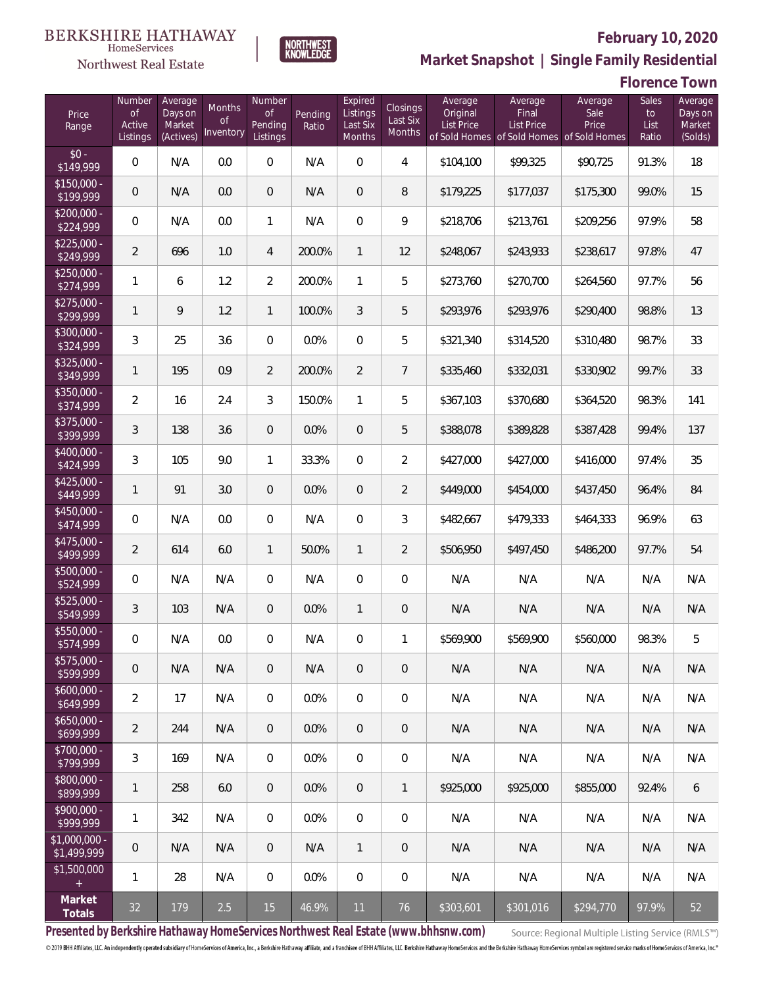#### **BERKSHIRE HATHAWAY** HomeServices



#### **February 10, 2020**



**Florence Town**

| Price<br>Range                    | Number<br><b>of</b><br>Active<br>Listings | Average<br>Days on<br>Market<br>(Actives) | Months<br>Οf<br>Inventory | Number<br><b>of</b><br>Pending<br>Listings | Pending<br>Ratio | Expired<br>Listings<br>Last Six<br>Months | <b>Closings</b><br>Last Six<br>Months | Average<br>Original<br>List Price | Average<br>Final<br>List Price<br>of Sold Homes of Sold Homes of Sold Homes | Average<br>Sale<br>Price | Sales<br>to<br>List<br>Ratio | Average<br>Days on<br>Market<br>(Solds) |
|-----------------------------------|-------------------------------------------|-------------------------------------------|---------------------------|--------------------------------------------|------------------|-------------------------------------------|---------------------------------------|-----------------------------------|-----------------------------------------------------------------------------|--------------------------|------------------------------|-----------------------------------------|
| $$0 -$<br>\$149,999               | $\overline{0}$                            | N/A                                       | 0.0                       | $\overline{0}$                             | N/A              | $\overline{0}$                            | $\overline{4}$                        | \$104,100                         | \$99,325                                                                    | \$90,725                 | 91.3%                        | 18                                      |
| $$150,000 -$<br>\$199,999         | $\overline{0}$                            | N/A                                       | 0.0                       | $\overline{0}$                             | N/A              | $\overline{0}$                            | 8                                     | \$179,225                         | \$177,037                                                                   | \$175,300                | 99.0%                        | 15                                      |
| $$200,000 -$<br>\$224,999         | $\overline{0}$                            | N/A                                       | 0.0                       | 1                                          | N/A              | $\mathbf 0$                               | 9                                     | \$218,706                         | \$213,761                                                                   | \$209,256                | 97.9%                        | 58                                      |
| $$225,000 -$<br>\$249,999         | $\overline{2}$                            | 696                                       | 1.0                       | 4                                          | 200.0%           | $\mathbf{1}$                              | 12                                    | \$248,067                         | \$243,933                                                                   | \$238,617                | 97.8%                        | 47                                      |
| $$250,000 -$<br>\$274,999         | $\mathbf{1}$                              | 6                                         | 1.2                       | $\overline{2}$                             | 200.0%           | $\mathbf{1}$                              | 5                                     | \$273,760                         | \$270,700                                                                   | \$264,560                | 97.7%                        | 56                                      |
| $$275,000 -$<br>\$299,999         | $\mathbf{1}$                              | 9                                         | 1.2                       | $\mathbf{1}$                               | 100.0%           | 3                                         | 5                                     | \$293,976                         | \$293,976                                                                   | \$290,400                | 98.8%                        | 13                                      |
| $$300,000 -$<br>\$324,999         | 3                                         | 25                                        | 3.6                       | $\overline{0}$                             | 0.0%             | $\overline{0}$                            | 5                                     | \$321,340                         | \$314,520                                                                   | \$310,480                | 98.7%                        | 33                                      |
| $$325,000 -$<br>\$349,999         | $\mathbf{1}$                              | 195                                       | 0.9                       | $\overline{2}$                             | 200.0%           | $\overline{2}$                            | $\overline{7}$                        | \$335,460                         | \$332,031                                                                   | \$330,902                | 99.7%                        | 33                                      |
| $$350,000 -$<br>\$374,999         | $\overline{a}$                            | 16                                        | 2.4                       | 3                                          | 150.0%           | $\mathbf{1}$                              | 5                                     | \$367,103                         | \$370,680                                                                   | \$364,520                | 98.3%                        | 141                                     |
| $$375,000 -$<br>$\sqrt{$399,999}$ | 3                                         | 138                                       | 3.6                       | $\overline{0}$                             | 0.0%             | $\overline{0}$                            | 5                                     | \$388,078                         | \$389,828                                                                   | \$387,428                | 99.4%                        | 137                                     |
| $$400,000 -$<br>\$424,999         | 3                                         | 105                                       | 9.0                       | $\mathbf{1}$                               | 33.3%            | $\overline{0}$                            | 2                                     | \$427,000                         | \$427,000                                                                   | \$416,000                | 97.4%                        | 35                                      |
| $$425,000 -$<br>\$449,999         | $\mathbf{1}$                              | 91                                        | 3.0                       | $\overline{0}$                             | 0.0%             | $\overline{0}$                            | $\overline{2}$                        | \$449,000                         | \$454,000                                                                   | \$437,450                | 96.4%                        | 84                                      |
| $$450,000 -$<br>\$474,999         | 0                                         | N/A                                       | 0.0                       | $\overline{0}$                             | N/A              | $\overline{0}$                            | 3                                     | \$482,667                         | \$479,333                                                                   | \$464,333                | 96.9%                        | 63                                      |
| $$475,000 -$<br>\$499,999         | $\overline{2}$                            | 614                                       | 6.0                       | $\mathbf{1}$                               | 50.0%            | $\mathbf{1}$                              | $\overline{2}$                        | \$506,950                         | \$497,450                                                                   | \$486,200                | 97.7%                        | 54                                      |
| $$500,000 -$<br>\$524,999         | 0                                         | N/A                                       | N/A                       | $\overline{0}$                             | N/A              | $\overline{0}$                            | $\overline{0}$                        | N/A                               | N/A                                                                         | N/A                      | N/A                          | N/A                                     |
| $$525,000 -$<br>\$549,999         | 3                                         | 103                                       | N/A                       | $\overline{0}$                             | 0.0%             | $\mathbf{1}$                              | $\overline{0}$                        | N/A                               | N/A                                                                         | N/A                      | N/A                          | N/A                                     |
| \$550,000 -<br>\$574,999          | 0                                         | N/A                                       | 0.0                       | 0                                          | N/A              | $\overline{0}$                            | $\mathbf{1}$                          | \$569,900                         | \$569,900                                                                   | \$560,000                | 98.3%                        | 5                                       |
| $$575,000 -$<br>\$599,999         | $\mathbf 0$                               | N/A                                       | N/A                       | 0                                          | N/A              | 0                                         | $\overline{0}$                        | N/A                               | N/A                                                                         | N/A                      | N/A                          | N/A                                     |
| $$600,000 -$<br>\$649,999         | $\overline{2}$                            | 17                                        | N/A                       | 0                                          | 0.0%             | $\mathbf 0$                               | $\boldsymbol{0}$                      | N/A                               | N/A                                                                         | N/A                      | N/A                          | N/A                                     |
| $$650,000 -$<br>\$699,999         | $\overline{2}$                            | 244                                       | N/A                       | $\overline{0}$                             | 0.0%             | $\mathbf{0}$                              | $\overline{0}$                        | N/A                               | N/A                                                                         | N/A                      | N/A                          | N/A                                     |
| \$700,000 -<br>\$799,999          | 3                                         | 169                                       | N/A                       | 0                                          | 0.0%             | $\mathbf 0$                               | $\boldsymbol{0}$                      | N/A                               | N/A                                                                         | N/A                      | N/A                          | N/A                                     |
| \$800,000 -<br>\$899,999          | $\mathbf{1}$                              | 258                                       | 6.0                       | $\overline{0}$                             | 0.0%             | $\overline{0}$                            | $\mathbf{1}$                          | \$925,000                         | \$925,000                                                                   | \$855,000                | 92.4%                        | 6                                       |
| \$900,000 -<br>\$999,999          | 1                                         | 342                                       | N/A                       | $\overline{0}$                             | 0.0%             | $\mathbf 0$                               | $\boldsymbol{0}$                      | N/A                               | N/A                                                                         | N/A                      | N/A                          | N/A                                     |
| \$1,000,000 -<br>\$1,499,999      | 0                                         | N/A                                       | N/A                       | $\mathbf 0$                                | N/A              | $\overline{1}$                            | $\mathbf 0$                           | N/A                               | N/A                                                                         | N/A                      | N/A                          | N/A                                     |
| \$1,500,000<br>$\pm$              | 1                                         | 28                                        | N/A                       | $\,0\,$                                    | 0.0%             | $\mathbf 0$                               | $\mathbf 0$                           | N/A                               | N/A                                                                         | N/A                      | N/A                          | N/A                                     |
| Market<br>Totals                  | 32                                        | 179                                       | 2.5                       | 15                                         | 46.9%            | 11                                        | 76                                    | \$303,601                         | \$301,016                                                                   | \$294,770                | 97.9%                        | 52                                      |

**NORTHWEST**<br>KNOWLEDGE

**Presented by Berkshire Hathaway HomeServices Northwest Real Estate (www.bhhsnw.com)**

Source: Regional Multiple Listing Service (RMLS™)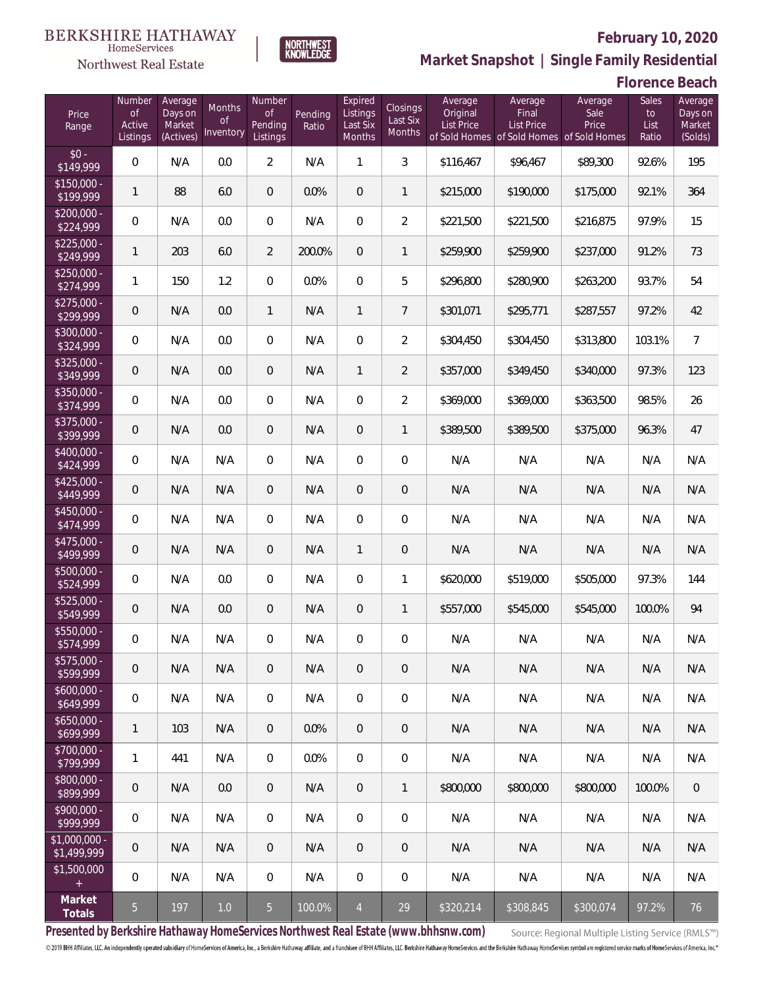

**NORTHWEST**<br>KNOWLEDGE

**Market Snapshot | Single Family Residential**

#### **Florence Beach**

| Price<br>Range                | Number<br>of<br>Active<br>Listings | Average<br>Days on<br>Market<br>(Actives) | Months<br><b>of</b><br>Inventory | Number<br>of<br>Pending<br>Listings | Pending<br>Ratio | Expired<br>Listings<br>Last Six<br>Months | Closings<br>Last Six<br>Months | Average<br>Original<br><b>List Price</b> | Average<br>Final<br>List Price | Average<br>Sale<br>Price<br>of Sold Homes of Sold Homes of Sold Homes | Sales<br>to<br>List<br>Ratio | Average<br>Days on<br>Market<br>(Solds) |
|-------------------------------|------------------------------------|-------------------------------------------|----------------------------------|-------------------------------------|------------------|-------------------------------------------|--------------------------------|------------------------------------------|--------------------------------|-----------------------------------------------------------------------|------------------------------|-----------------------------------------|
| $$0 -$<br>\$149,999           | $\overline{0}$                     | N/A                                       | 0.0                              | $\overline{2}$                      | N/A              | $\mathbf{1}$                              | 3                              | \$116,467                                | \$96,467                       | \$89,300                                                              | 92.6%                        | 195                                     |
| $$150,000 -$<br>\$199,999     | 1                                  | 88                                        | 6.0                              | $\overline{0}$                      | 0.0%             | $\overline{0}$                            | $\mathbf{1}$                   | \$215,000                                | \$190,000                      | \$175,000                                                             | 92.1%                        | 364                                     |
| $$200,000 -$<br>\$224,999     | $\mathbf 0$                        | N/A                                       | 0.0                              | $\overline{0}$                      | N/A              | $\overline{0}$                            | $\overline{2}$                 | \$221,500                                | \$221,500                      | \$216,875                                                             | 97.9%                        | 15                                      |
| $$225,000 -$<br>\$249,999     | 1                                  | 203                                       | 6.0                              | $\overline{2}$                      | 200.0%           | $\overline{0}$                            | $\mathbf{1}$                   | \$259,900                                | \$259,900                      | \$237,000                                                             | 91.2%                        | 73                                      |
| $$250,000 -$<br>\$274,999     | 1                                  | 150                                       | 1.2                              | $\Omega$                            | 0.0%             | $\mathbf 0$                               | 5                              | \$296,800                                | \$280,900                      | \$263,200                                                             | 93.7%                        | 54                                      |
| $$275,000 -$<br>\$299,999     | $\mathbf 0$                        | N/A                                       | 0.0                              | $\mathbf{1}$                        | N/A              | $\mathbf{1}$                              | $7\overline{ }$                | \$301,071                                | \$295,771                      | \$287,557                                                             | 97.2%                        | 42                                      |
| $$300,000 -$<br>\$324,999     | $\mathbf 0$                        | N/A                                       | 0.0                              | $\mathbf 0$                         | N/A              | $\mathbf 0$                               | $\overline{2}$                 | \$304,450                                | \$304,450                      | \$313,800                                                             | 103.1%                       | $\overline{7}$                          |
| $$325,000 -$<br>\$349,999     | 0                                  | N/A                                       | 0.0                              | $\overline{0}$                      | N/A              | $\mathbf{1}$                              | $\overline{2}$                 | \$357,000                                | \$349,450                      | \$340,000                                                             | 97.3%                        | 123                                     |
| $$350,000 -$<br>\$374,999     | $\mathbf 0$                        | N/A                                       | 0.0                              | $\overline{0}$                      | N/A              | $\overline{0}$                            | $\overline{2}$                 | \$369,000                                | \$369,000                      | \$363,500                                                             | 98.5%                        | 26                                      |
| $$375,000 -$<br>\$399,999     | 0                                  | N/A                                       | 0.0                              | $\overline{0}$                      | N/A              | $\overline{0}$                            | $\mathbf{1}$                   | \$389,500                                | \$389,500                      | \$375,000                                                             | 96.3%                        | 47                                      |
| $$400,000 -$<br>\$424,999     | $\mathbf 0$                        | N/A                                       | N/A                              | $\overline{0}$                      | N/A              | $\overline{0}$                            | $\overline{0}$                 | N/A                                      | N/A                            | N/A                                                                   | N/A                          | N/A                                     |
| $$425,000 -$<br>\$449,999     | 0                                  | N/A                                       | N/A                              | $\overline{0}$                      | N/A              | $\overline{0}$                            | $\mathbf 0$                    | N/A                                      | N/A                            | N/A                                                                   | N/A                          | N/A                                     |
| $$450,000 -$<br>\$474,999     | $\mathbf 0$                        | N/A                                       | N/A                              | $\mathbf 0$                         | N/A              | $\mathbf 0$                               | $\overline{0}$                 | N/A                                      | N/A                            | N/A                                                                   | N/A                          | N/A                                     |
| $$475,000 -$<br>\$499,999     | $\mathsf{O}\xspace$                | N/A                                       | N/A                              | $\overline{0}$                      | N/A              | $\mathbf{1}$                              | $\mathbf 0$                    | N/A                                      | N/A                            | N/A                                                                   | N/A                          | N/A                                     |
| \$500,000 -<br>\$524,999      | $\mathbf 0$                        | N/A                                       | 0.0                              | $\overline{0}$                      | N/A              | $\overline{0}$                            | 1                              | \$620,000                                | \$519,000                      | \$505,000                                                             | 97.3%                        | 144                                     |
| $$525,000 -$<br>\$549,999     | 0                                  | N/A                                       | 0.0                              | $\overline{0}$                      | N/A              | $\overline{0}$                            | $\mathbf{1}$                   | \$557,000                                | \$545,000                      | \$545,000                                                             | 100.0%                       | 94                                      |
| $$550,000 -$<br>\$574,999     | $\mathbf 0$                        | N/A                                       | N/A                              | $\overline{0}$                      | N/A              | $\overline{0}$                            | 0                              | N/A                                      | N/A                            | N/A                                                                   | N/A                          | N/A                                     |
| $$575,000 -$<br>\$599,999     | $\theta$                           | N/A                                       | N/A                              | $\overline{0}$                      | N/A              | $\overline{0}$                            | 0                              | N/A                                      | N/A                            | N/A                                                                   | N/A                          | N/A                                     |
| $$600,000 -$<br>\$649,999     | $\mathbf 0$                        | N/A                                       | N/A                              | $\mathbf 0$                         | N/A              | $\mathbf 0$                               | 0                              | N/A                                      | N/A                            | N/A                                                                   | N/A                          | N/A                                     |
| $$650,000 -$<br>\$699,999     | 1                                  | 103                                       | N/A                              | $\overline{0}$                      | 0.0%             | $\overline{0}$                            | 0                              | N/A                                      | N/A                            | N/A                                                                   | N/A                          | N/A                                     |
| $$700,000 -$<br>\$799,999     | 1                                  | 441                                       | N/A                              | $\mathbf 0$                         | 0.0%             | $\mathbf 0$                               | 0                              | N/A                                      | N/A                            | N/A                                                                   | N/A                          | N/A                                     |
| $$800,000 -$<br>\$899,999     | $\boldsymbol{0}$                   | N/A                                       | 0.0                              | $\overline{0}$                      | N/A              | $\overline{0}$                            | $\mathbf{1}$                   | \$800,000                                | \$800,000                      | \$800,000                                                             | 100.0%                       | $\overline{0}$                          |
| $$900,000 -$<br>\$999,999     | 0                                  | N/A                                       | N/A                              | $\mathbf 0$                         | N/A              | $\mathbf 0$                               | 0                              | N/A                                      | N/A                            | N/A                                                                   | N/A                          | N/A                                     |
| $$1,000,000 -$<br>\$1,499,999 | $\mathbf 0$                        | N/A                                       | N/A                              | $\overline{0}$                      | N/A              | $\overline{0}$                            | 0                              | N/A                                      | N/A                            | N/A                                                                   | N/A                          | N/A                                     |
| \$1,500,000<br>$\pm$          | $\mathbf 0$                        | N/A                                       | N/A                              | $\mathbf 0$                         | N/A              | $\mathbf 0$                               | $\mathbf 0$                    | N/A                                      | N/A                            | N/A                                                                   | N/A                          | N/A                                     |
| Market<br>Totals              | $\overline{5}$                     | 197                                       | $1.0$                            | $\overline{5}$                      | 100.0%           | $\overline{4}$                            | 29                             | \$320,214                                | \$308,845                      | \$300,074                                                             | 97.2%                        | 76                                      |

**Presented by Berkshire Hathaway HomeServices Northwest Real Estate (www.bhhsnw.com)**

Source: Regional Multiple Listing Service (RMLS™)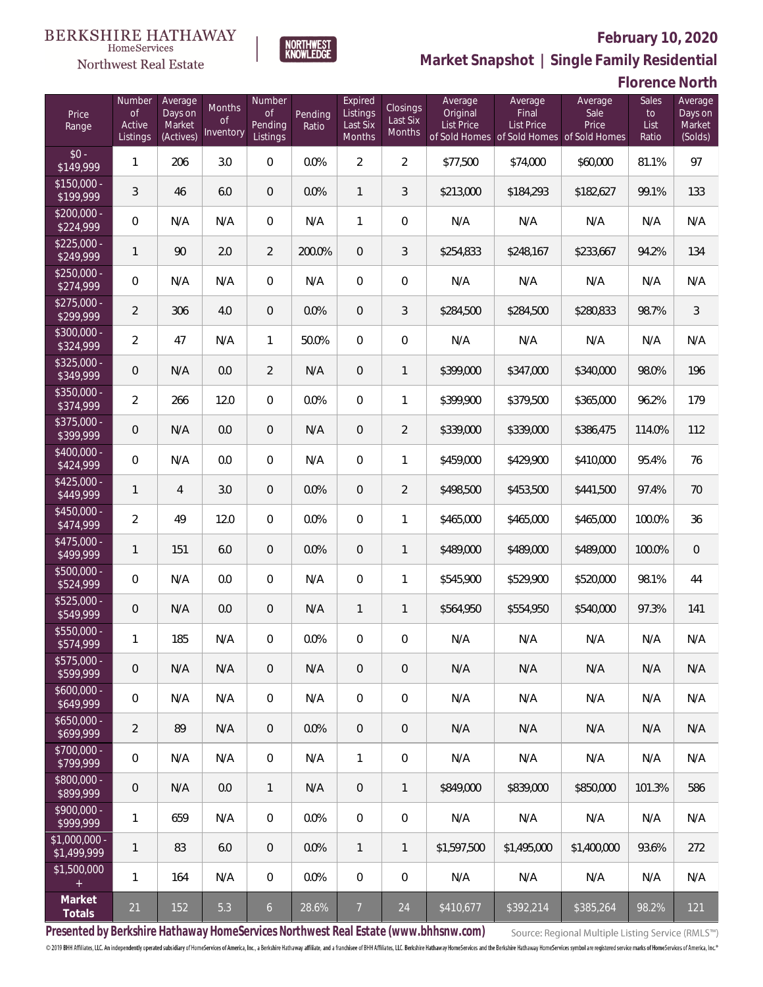

NORTHWEST<br>KNOWLEDGE

Northwest Real Estate

**Market Snapshot | Single Family Residential**

# **Florence North**

| Price<br>Range               | Number<br><b>of</b><br>Active<br>Listings | Average<br>Days on<br>Market<br>(Actives) | Months<br><b>of</b><br>Inventory | Number<br><b>of</b><br>Pending<br>Listings | Pending<br>Ratio | Expired<br>Listings<br>Last Six<br>Months | Closings<br>Last Six<br>Months | Average<br>Original<br><b>List Price</b> | Average<br>Final<br><b>List Price</b><br>of Sold Homes of Sold Homes of Sold Homes | Average<br>Sale<br>Price | Sales<br>to<br>List<br>Ratio | Average<br>Days on<br>Market<br>(Solds) |
|------------------------------|-------------------------------------------|-------------------------------------------|----------------------------------|--------------------------------------------|------------------|-------------------------------------------|--------------------------------|------------------------------------------|------------------------------------------------------------------------------------|--------------------------|------------------------------|-----------------------------------------|
| $$0 -$<br>$\sqrt{$149,999}$  | $\mathbf{1}$                              | 206                                       | 3.0                              | 0                                          | 0.0%             | $\overline{2}$                            | $\overline{2}$                 | \$77,500                                 | \$74,000                                                                           | \$60,000                 | 81.1%                        | 97                                      |
| $$150,000 -$<br>\$199,999    | 3                                         | 46                                        | 6.0                              | $\overline{0}$                             | 0.0%             | $\mathbf{1}$                              | 3                              | \$213,000                                | \$184,293                                                                          | \$182,627                | 99.1%                        | 133                                     |
| $$200,000 -$<br>\$224,999    | $\boldsymbol{0}$                          | N/A                                       | N/A                              | 0                                          | N/A              | $\mathbf{1}$                              | $\overline{0}$                 | N/A                                      | N/A                                                                                | N/A                      | N/A                          | N/A                                     |
| $$225,000 -$<br>\$249,999    | $\mathbf{1}$                              | 90                                        | 2.0                              | $\overline{2}$                             | 200.0%           | $\overline{0}$                            | 3                              | \$254,833                                | \$248,167                                                                          | \$233,667                | 94.2%                        | 134                                     |
| $$250,000 -$<br>\$274,999    | 0                                         | N/A                                       | N/A                              | 0                                          | N/A              | $\overline{0}$                            | $\boldsymbol{0}$               | N/A                                      | N/A                                                                                | N/A                      | N/A                          | N/A                                     |
| $$275,000 -$<br>\$299,999    | $\overline{2}$                            | 306                                       | 4.0                              | 0                                          | 0.0%             | $\overline{0}$                            | 3                              | \$284,500                                | \$284,500                                                                          | \$280,833                | 98.7%                        | $\mathfrak{Z}$                          |
| $$300,000 -$<br>\$324,999    | $\overline{2}$                            | 47                                        | N/A                              | 1                                          | 50.0%            | $\overline{0}$                            | $\boldsymbol{0}$               | N/A                                      | N/A                                                                                | N/A                      | N/A                          | N/A                                     |
| $$325,000 -$<br>\$349,999    | 0                                         | N/A                                       | 0.0                              | $\overline{2}$                             | N/A              | $\overline{0}$                            | $\mathbf{1}$                   | \$399,000                                | \$347,000                                                                          | \$340,000                | 98.0%                        | 196                                     |
| $$350,000 -$<br>\$374,999    | $\overline{2}$                            | 266                                       | 12.0                             | 0                                          | 0.0%             | $\overline{0}$                            | $\mathbf{1}$                   | \$399,900                                | \$379,500                                                                          | \$365,000                | 96.2%                        | 179                                     |
| \$375,000 -<br>\$399,999     | 0                                         | N/A                                       | 0.0                              | 0                                          | N/A              | $\overline{0}$                            | $\overline{2}$                 | \$339,000                                | \$339,000                                                                          | \$386,475                | 114.0%                       | 112                                     |
| \$400,000 -<br>\$424,999     | $\overline{0}$                            | N/A                                       | 0.0                              | $\overline{0}$                             | N/A              | $\mathbf 0$                               | $\mathbf{1}$                   | \$459,000                                | \$429,900                                                                          | \$410,000                | 95.4%                        | 76                                      |
| $$425,000 -$<br>\$449,999    | 1                                         | $\overline{4}$                            | 3.0                              | $\overline{0}$                             | 0.0%             | $\overline{0}$                            | $\overline{2}$                 | \$498,500                                | \$453,500                                                                          | \$441,500                | 97.4%                        | 70                                      |
| $$450,000 -$<br>\$474,999    | $\overline{2}$                            | 49                                        | 12.0                             | $\overline{0}$                             | 0.0%             | $\mathbf 0$                               | $\mathbf{1}$                   | \$465,000                                | \$465,000                                                                          | \$465,000                | 100.0%                       | 36                                      |
| $$475,000 -$<br>\$499,999    | 1                                         | 151                                       | 6.0                              | $\overline{0}$                             | 0.0%             | $\overline{0}$                            | $\mathbf{1}$                   | \$489,000                                | \$489,000                                                                          | \$489,000                | 100.0%                       | $\overline{0}$                          |
| $$500,000 -$<br>\$524,999    | $\boldsymbol{0}$                          | N/A                                       | 0.0                              | $\overline{0}$                             | N/A              | $\mathbf 0$                               | $\mathbf{1}$                   | \$545,900                                | \$529,900                                                                          | \$520,000                | 98.1%                        | 44                                      |
| $$525,000 -$<br>\$549,999    | 0                                         | N/A                                       | 0.0                              | $\overline{0}$                             | N/A              | $\mathbf{1}$                              | $\mathbf{1}$                   | \$564,950                                | \$554,950                                                                          | \$540,000                | 97.3%                        | 141                                     |
| $$550,000 -$<br>\$574,999    | $\mathbf{1}$                              | 185                                       | N/A                              | 0                                          | 0.0%             | 0                                         | $\mathbf 0$                    | N/A                                      | N/A                                                                                | N/A                      | N/A                          | N/A                                     |
| $$575,000 -$<br>\$599,999    | $\mathbf 0$                               | N/A                                       | N/A                              | 0                                          | N/A              | $\mathbf 0$                               | $\,0\,$                        | N/A                                      | N/A                                                                                | N/A                      | N/A                          | N/A                                     |
| $$600,000 -$<br>\$649,999    | $\boldsymbol{0}$                          | N/A                                       | N/A                              | $\overline{0}$                             | N/A              | $\mathbf 0$                               | $\mathbf 0$                    | N/A                                      | N/A                                                                                | N/A                      | N/A                          | N/A                                     |
| $$650,000 -$<br>\$699,999    | $\overline{2}$                            | 89                                        | N/A                              | $\overline{0}$                             | 0.0%             | $\overline{0}$                            | $\mathbf 0$                    | N/A                                      | N/A                                                                                | N/A                      | N/A                          | N/A                                     |
| \$700,000 -<br>\$799,999     | 0                                         | N/A                                       | N/A                              | $\overline{0}$                             | N/A              | $\mathbf{1}$                              | $\,0\,$                        | N/A                                      | N/A                                                                                | N/A                      | N/A                          | N/A                                     |
| \$800,000 -<br>\$899,999     | $\boldsymbol{0}$                          | N/A                                       | 0.0                              | $\mathbf{1}$                               | N/A              | $\mathbf{0}$                              | $\overline{1}$                 | \$849,000                                | \$839,000                                                                          | \$850,000                | 101.3%                       | 586                                     |
| \$900,000 -<br>\$999,999     | $\mathbf{1}$                              | 659                                       | N/A                              | $\overline{0}$                             | 0.0%             | $\mathbf 0$                               | $\,0\,$                        | N/A                                      | N/A                                                                                | N/A                      | N/A                          | N/A                                     |
| \$1,000,000 -<br>\$1,499,999 | $\mathbf{1}$                              | 83                                        | 6.0                              | $\overline{0}$                             | 0.0%             | $\mathbf{1}$                              | $\overline{1}$                 | \$1,597,500                              | \$1,495,000                                                                        | \$1,400,000              | 93.6%                        | 272                                     |
| \$1,500,000<br>$\pm$         | $\mathbf{1}$                              | 164                                       | N/A                              | $\overline{0}$                             | 0.0%             | $\mathbf 0$                               | $\mathbf 0$                    | N/A                                      | N/A                                                                                | N/A                      | N/A                          | N/A                                     |
| Market<br>Totals             | $21$                                      | 152                                       | 5.3                              | $\sigma$                                   | 28.6%            | $\overline{7}$                            | 24                             | \$410,677                                | \$392,214                                                                          | \$385,264                | 98.2%                        | 121                                     |

**Presented by Berkshire Hathaway HomeServices Northwest Real Estate (www.bhhsnw.com)**

Source: Regional Multiple Listing Service (RMLS™)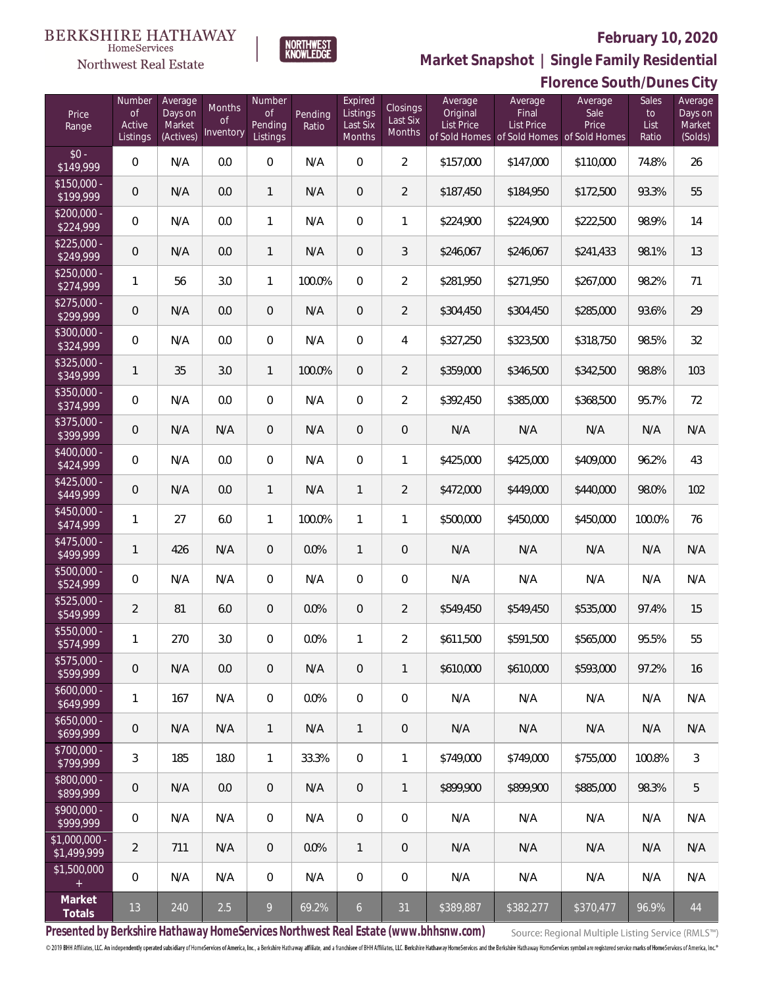#### **BERKSHIRE HATHAWAY** HomeServices

# Northwest Real Estate



# **February 10, 2020**

**Market Snapshot | Single Family Residential**

| Florence South/Dunes City |  |
|---------------------------|--|
|---------------------------|--|

| Price<br>Range               | Number<br><b>of</b><br>Active<br>Listings | Average<br>Days on<br>Market<br>(Actives) | Months<br>Οf<br>Inventory | Number<br><b>of</b><br>Pending<br>Listings | Pending<br>Ratio | Expired<br>Listings<br>Last Six<br>Months | Closings<br>Last Six<br>Months | Average<br>Original<br><b>List Price</b> | Average<br>Final<br><b>List Price</b><br>of Sold Homes of Sold Homes of Sold Homes | Average<br>Sale<br>Price | Sales<br>to<br>List<br>Ratio | Average<br>Days on<br>Market<br>(Solds) |
|------------------------------|-------------------------------------------|-------------------------------------------|---------------------------|--------------------------------------------|------------------|-------------------------------------------|--------------------------------|------------------------------------------|------------------------------------------------------------------------------------|--------------------------|------------------------------|-----------------------------------------|
| $$0 -$<br>\$149,999          | $\overline{0}$                            | N/A                                       | 0.0                       | $\overline{0}$                             | N/A              | $\Omega$                                  | $\overline{2}$                 | \$157,000                                | \$147,000                                                                          | \$110,000                | 74.8%                        | 26                                      |
| $$150,000 -$<br>\$199,999    | $\overline{0}$                            | N/A                                       | 0.0                       | $\mathbf{1}$                               | N/A              | $\overline{0}$                            | $\overline{2}$                 | \$187,450                                | \$184,950                                                                          | \$172,500                | 93.3%                        | 55                                      |
| $$200,000 -$<br>\$224,999    | $\overline{0}$                            | N/A                                       | 0.0                       | $\mathbf{1}$                               | N/A              | $\overline{0}$                            | 1                              | \$224,900                                | \$224,900                                                                          | \$222,500                | 98.9%                        | 14                                      |
| $$225,000 -$<br>\$249,999    | $\overline{0}$                            | N/A                                       | 0.0                       | $\mathbf{1}$                               | N/A              | $\overline{0}$                            | 3                              | \$246,067                                | \$246,067                                                                          | \$241,433                | 98.1%                        | 13                                      |
| $$250,000 -$<br>\$274,999    | 1                                         | 56                                        | 3.0                       | $\mathbf{1}$                               | 100.0%           | $\overline{0}$                            | $\overline{2}$                 | \$281,950                                | \$271,950                                                                          | \$267,000                | 98.2%                        | 71                                      |
| $$275,000 -$<br>\$299,999    | $\mathbf 0$                               | N/A                                       | 0.0                       | $\overline{0}$                             | N/A              | $\overline{0}$                            | $\overline{2}$                 | \$304,450                                | \$304,450                                                                          | \$285,000                | 93.6%                        | 29                                      |
| $$300,000 -$<br>\$324,999    | $\overline{0}$                            | N/A                                       | 0.0                       | $\overline{0}$                             | N/A              | $\overline{0}$                            | $\overline{4}$                 | \$327,250                                | \$323,500                                                                          | \$318,750                | 98.5%                        | 32                                      |
| $$325,000 -$<br>\$349,999    | 1                                         | 35                                        | 3.0                       | $\mathbf{1}$                               | 100.0%           | $\overline{0}$                            | $\overline{2}$                 | \$359,000                                | \$346,500                                                                          | \$342,500                | 98.8%                        | 103                                     |
| $$350,000 -$<br>\$374,999    | 0                                         | N/A                                       | 0.0                       | $\overline{0}$                             | N/A              | $\overline{0}$                            | $\overline{2}$                 | \$392,450                                | \$385,000                                                                          | \$368,500                | 95.7%                        | 72                                      |
| $$375,000 -$<br>\$399,999    | 0                                         | N/A                                       | N/A                       | $\overline{0}$                             | N/A              | $\overline{0}$                            | $\mathbf 0$                    | N/A                                      | N/A                                                                                | N/A                      | N/A                          | N/A                                     |
| \$400,000 -<br>\$424,999     | $\overline{0}$                            | N/A                                       | 0.0                       | $\overline{0}$                             | N/A              | $\overline{0}$                            | 1                              | \$425,000                                | \$425,000                                                                          | \$409,000                | 96.2%                        | 43                                      |
| $$425,000 -$<br>\$449,999    | $\overline{0}$                            | N/A                                       | 0.0                       | $\mathbf{1}$                               | N/A              | $\mathbf{1}$                              | $\overline{2}$                 | \$472,000                                | \$449,000                                                                          | \$440,000                | 98.0%                        | 102                                     |
| $$450,000 -$<br>\$474,999    | $\mathbf{1}$                              | 27                                        | 6.0                       | $\mathbf{1}$                               | 100.0%           | $\mathbf{1}$                              | $\mathbf{1}$                   | \$500,000                                | \$450,000                                                                          | \$450,000                | 100.0%                       | 76                                      |
| $$475,000 -$<br>\$499,999    | $\mathbf{1}$                              | 426                                       | N/A                       | $\overline{0}$                             | 0.0%             | $\mathbf{1}$                              | $\theta$                       | N/A                                      | N/A                                                                                | N/A                      | N/A                          | N/A                                     |
| $$500,000 -$<br>\$524,999    | $\overline{0}$                            | N/A                                       | N/A                       | $\Omega$                                   | N/A              | $\overline{0}$                            | $\mathbf 0$                    | N/A                                      | N/A                                                                                | N/A                      | N/A                          | N/A                                     |
| $$525,000 -$<br>\$549,999    | $\overline{2}$                            | 81                                        | 6.0                       | $\overline{0}$                             | 0.0%             | $\overline{0}$                            | $\overline{2}$                 | \$549,450                                | \$549,450                                                                          | \$535,000                | 97.4%                        | 15                                      |
| $$550,000 -$<br>\$574,999    | 1                                         | 270                                       | 3.0                       | $\overline{0}$                             | 0.0%             | 1                                         | $\overline{2}$                 | \$611,500                                | \$591,500                                                                          | \$565,000                | 95.5%                        | 55                                      |
| \$575,000 -<br>\$599,999     | $\mathbf 0$                               | N/A                                       | 0.0                       | $\mathbf 0$                                | N/A              | $\mathbf 0$                               | $\mathbf{1}$                   | \$610,000                                | \$610,000                                                                          | \$593,000                | 97.2%                        | 16                                      |
| $$600,000 -$<br>\$649,999    | 1                                         | 167                                       | N/A                       | $\mathbf 0$                                | 0.0%             | 0                                         | $\mathbf 0$                    | N/A                                      | N/A                                                                                | N/A                      | N/A                          | N/A                                     |
| $$650,000 -$<br>\$699,999    | $\mathbf 0$                               | N/A                                       | N/A                       | $\mathbf{1}$                               | N/A              | $\mathbf{1}$                              | $\mathbf 0$                    | N/A                                      | N/A                                                                                | N/A                      | N/A                          | N/A                                     |
| $$700,000 -$<br>\$799,999    | $\mathfrak{Z}$                            | 185                                       | 18.0                      | $\mathbf{1}$                               | 33.3%            | $\mathbf 0$                               | $\mathbf{1}$                   | \$749,000                                | \$749,000                                                                          | \$755,000                | 100.8%                       | $\mathfrak{Z}$                          |
| \$800,000 -<br>\$899,999     | $\mathbf 0$                               | N/A                                       | 0.0                       | $\overline{0}$                             | N/A              | $\overline{0}$                            | 1                              | \$899,900                                | \$899,900                                                                          | \$885,000                | 98.3%                        | 5                                       |
| $$900,000 -$<br>\$999,999    | $\,0\,$                                   | N/A                                       | N/A                       | $\overline{0}$                             | N/A              | $\mathbf 0$                               | $\mathbf 0$                    | N/A                                      | N/A                                                                                | N/A                      | N/A                          | N/A                                     |
| \$1,000,000 -<br>\$1,499,999 | $\overline{2}$                            | 711                                       | N/A                       | $\overline{0}$                             | 0.0%             | $\mathbf{1}$                              | $\theta$                       | N/A                                      | N/A                                                                                | N/A                      | N/A                          | N/A                                     |
| \$1,500,000<br>$\pm$         | $\overline{0}$                            | N/A                                       | N/A                       | $\overline{0}$                             | N/A              | $\mathbf 0$                               | $\mathbf 0$                    | N/A                                      | N/A                                                                                | N/A                      | N/A                          | N/A                                     |
| Market<br>Totals             | 13                                        | 240                                       | 2.5                       | $\overline{9}$                             | 69.2%            | 6 <sup>1</sup>                            | 31                             | \$389,887                                | \$382,277                                                                          | \$370,477                | 96.9%                        | 44                                      |

**Presented by Berkshire Hathaway HomeServices Northwest Real Estate (www.bhhsnw.com)**

Source: Regional Multiple Listing Service (RMLS™)